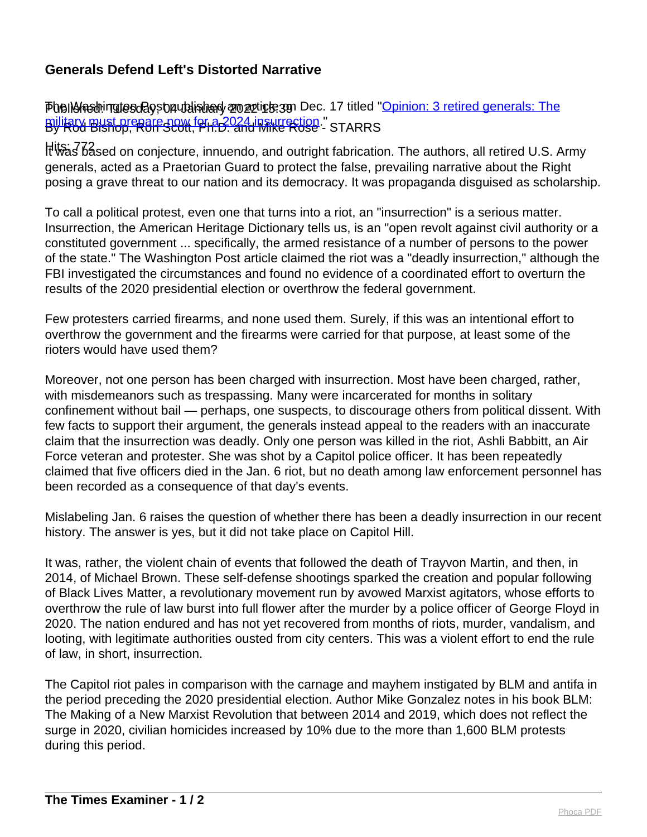## **Generals Defend Left's Distorted Narrative**

Phelio Ashingtos Bost published an article on Dec. 17 titled "[Opinion: 3 retired generals: The](https://www.washingtonpost.com/opinions/2021/12/17/eaton-taguba-anderson-generals-military/) [military must prepare now for a 2024 insurrection.](https://www.washingtonpost.com/opinions/2021/12/17/eaton-taguba-anderson-generals-military/)"<br>By Rod Bishop, Ron Scott, Ph.D. and Mike Rose - STARRS

Hits: 772 It was based on conjecture, innuendo, and outright fabrication. The authors, all retired U.S. Army generals, acted as a Praetorian Guard to protect the false, prevailing narrative about the Right posing a grave threat to our nation and its democracy. It was propaganda disguised as scholarship.

To call a political protest, even one that turns into a riot, an "insurrection" is a serious matter. Insurrection, the American Heritage Dictionary tells us, is an "open revolt against civil authority or a constituted government ... specifically, the armed resistance of a number of persons to the power of the state." The Washington Post article claimed the riot was a "deadly insurrection," although the FBI investigated the circumstances and found no evidence of a coordinated effort to overturn the results of the 2020 presidential election or overthrow the federal government.

Few protesters carried firearms, and none used them. Surely, if this was an intentional effort to overthrow the government and the firearms were carried for that purpose, at least some of the rioters would have used them?

Moreover, not one person has been charged with insurrection. Most have been charged, rather, with misdemeanors such as trespassing. Many were incarcerated for months in solitary confinement without bail — perhaps, one suspects, to discourage others from political dissent. With few facts to support their argument, the generals instead appeal to the readers with an inaccurate claim that the insurrection was deadly. Only one person was killed in the riot, Ashli Babbitt, an Air Force veteran and protester. She was shot by a Capitol police officer. It has been repeatedly claimed that five officers died in the Jan. 6 riot, but no death among law enforcement personnel has been recorded as a consequence of that day's events.

Mislabeling Jan. 6 raises the question of whether there has been a deadly insurrection in our recent history. The answer is yes, but it did not take place on Capitol Hill.

It was, rather, the violent chain of events that followed the death of Trayvon Martin, and then, in 2014, of Michael Brown. These self-defense shootings sparked the creation and popular following of Black Lives Matter, a revolutionary movement run by avowed Marxist agitators, whose efforts to overthrow the rule of law burst into full flower after the murder by a police officer of George Floyd in 2020. The nation endured and has not yet recovered from months of riots, murder, vandalism, and looting, with legitimate authorities ousted from city centers. This was a violent effort to end the rule of law, in short, insurrection.

The Capitol riot pales in comparison with the carnage and mayhem instigated by BLM and antifa in the period preceding the 2020 presidential election. Author Mike Gonzalez notes in his book BLM: The Making of a New Marxist Revolution that between 2014 and 2019, which does not reflect the surge in 2020, civilian homicides increased by 10% due to the more than 1,600 BLM protests during this period.